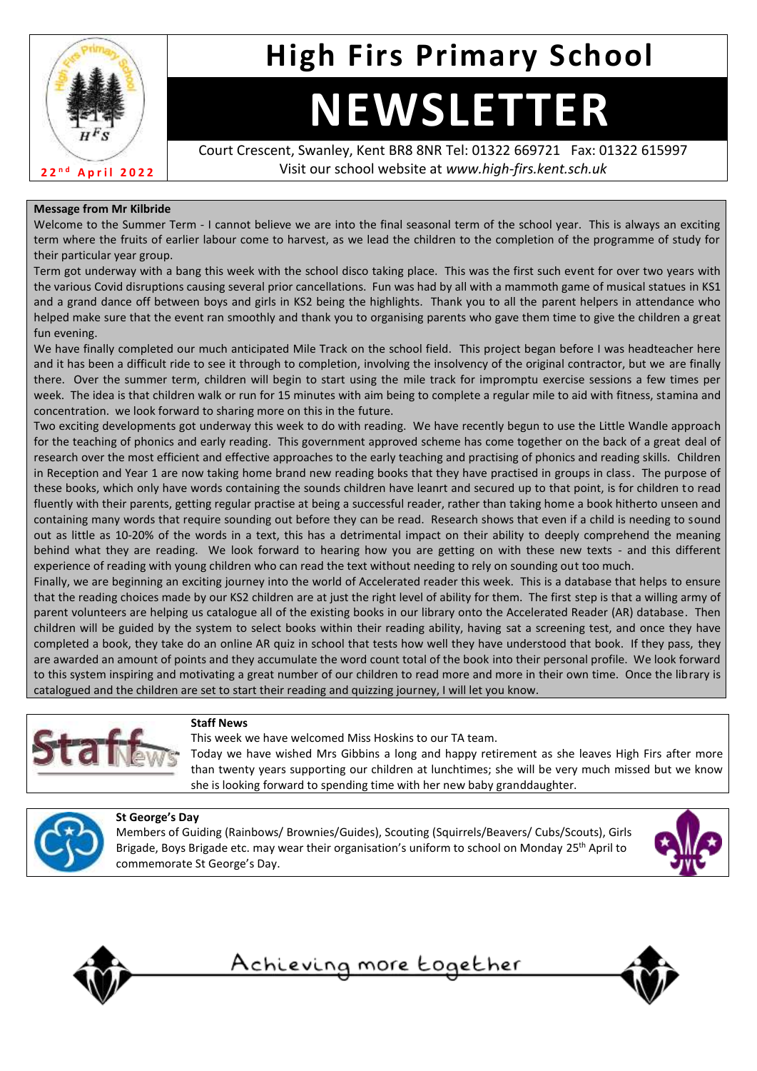

# **High Firs Primary School**

# **NEWSLETTER**

Court Crescent, Swanley, Kent BR8 8NR Tel: 01322 669721 Fax: 01322 615997 Visit our school website at *www.high-firs.kent.sch.uk*

# **Message from Mr Kilbride**

Welcome to the Summer Term - I cannot believe we are into the final seasonal term of the school year. This is always an exciting term where the fruits of earlier labour come to harvest, as we lead the children to the completion of the programme of study for their particular year group.

Term got underway with a bang this week with the school disco taking place. This was the first such event for over two years with the various Covid disruptions causing several prior cancellations. Fun was had by all with a mammoth game of musical statues in KS1 and a grand dance off between boys and girls in KS2 being the highlights. Thank you to all the parent helpers in attendance who helped make sure that the event ran smoothly and thank you to organising parents who gave them time to give the children a great fun evening.

We have finally completed our much anticipated Mile Track on the school field. This project began before I was headteacher here and it has been a difficult ride to see it through to completion, involving the insolvency of the original contractor, but we are finally there. Over the summer term, children will begin to start using the mile track for impromptu exercise sessions a few times per week. The idea is that children walk or run for 15 minutes with aim being to complete a regular mile to aid with fitness, stamina and concentration. we look forward to sharing more on this in the future.

Two exciting developments got underway this week to do with reading. We have recently begun to use the Little Wandle approach for the teaching of phonics and early reading. This government approved scheme has come together on the back of a great deal of research over the most efficient and effective approaches to the early teaching and practising of phonics and reading skills. Children in Reception and Year 1 are now taking home brand new reading books that they have practised in groups in class. The purpose of these books, which only have words containing the sounds children have leanrt and secured up to that point, is for children to read fluently with their parents, getting regular practise at being a successful reader, rather than taking home a book hitherto unseen and containing many words that require sounding out before they can be read. Research shows that even if a child is needing to sound out as little as 10-20% of the words in a text, this has a detrimental impact on their ability to deeply comprehend the meaning behind what they are reading. We look forward to hearing how you are getting on with these new texts - and this different experience of reading with young children who can read the text without needing to rely on sounding out too much.

Finally, we are beginning an exciting journey into the world of Accelerated reader this week. This is a database that helps to ensure that the reading choices made by our KS2 children are at just the right level of ability for them. The first step is that a willing army of parent volunteers are helping us catalogue all of the existing books in our library onto the Accelerated Reader (AR) database. Then children will be guided by the system to select books within their reading ability, having sat a screening test, and once they have completed a book, they take do an online AR quiz in school that tests how well they have understood that book. If they pass, they are awarded an amount of points and they accumulate the word count total of the book into their personal profile. We look forward to this system inspiring and motivating a great number of our children to read more and more in their own time. Once the library is catalogued and the children are set to start their reading and quizzing journey, I will let you know.



## **Staff News**

This week we have welcomed Miss Hoskins to our TA team.

Today we have wished Mrs Gibbins a long and happy retirement as she leaves High Firs after more than twenty years supporting our children at lunchtimes; she will be very much missed but we know she is looking forward to spending time with her new baby granddaughter.



## **St George's Day**

Members of Guiding (Rainbows/ Brownies/Guides), Scouting (Squirrels/Beavers/ Cubs/Scouts), Girls Brigade, Boys Brigade etc. may wear their organisation's uniform to school on Monday 25<sup>th</sup> April to commemorate St George's Day.





<u>Achieving more together</u>

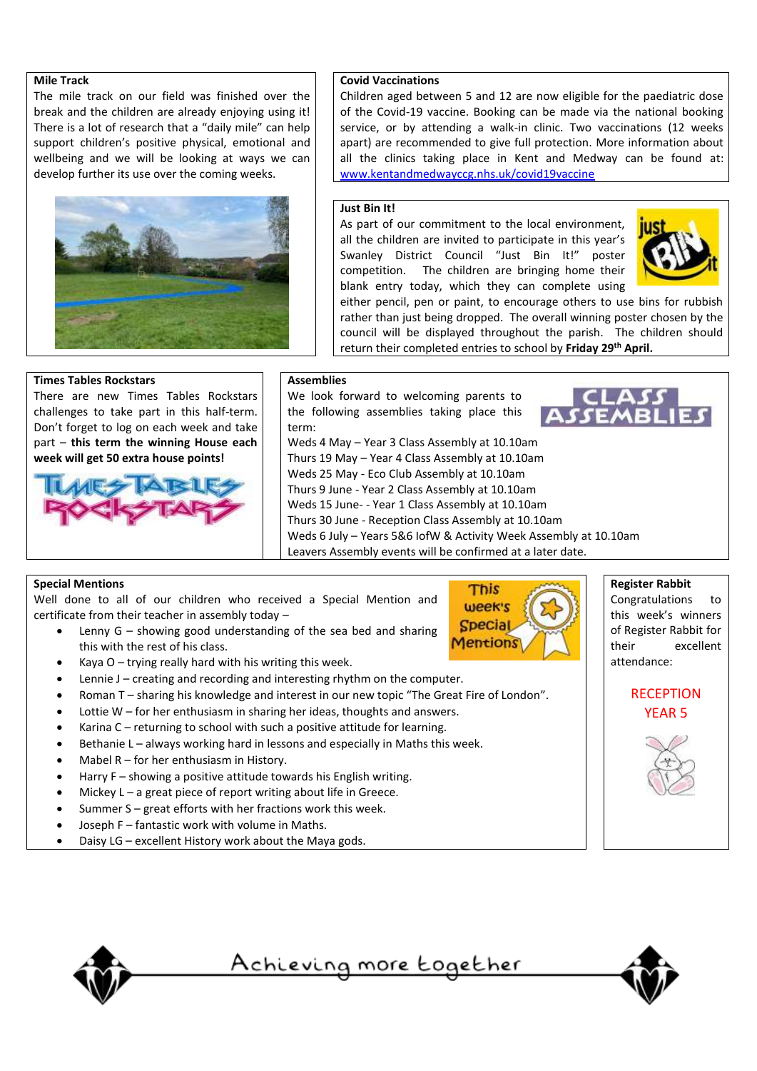#### **Mile Track**

The mile track on our field was finished over the break and the children are already enjoying using it! There is a lot of research that a "daily mile" can help support children's positive physical, emotional and wellbeing and we will be looking at ways we can develop further its use over the coming weeks.



# **Covid Vaccinations**

Children aged between 5 and 12 are now eligible for the paediatric dose of the Covid-19 vaccine. Booking can be made via the national booking service, or by attending a walk-in clinic. Two vaccinations (12 weeks apart) are recommended to give full protection. More information about all the clinics taking place in Kent and Medway can be found at: [www.kentandmedwayccg.nhs.uk/covid19vaccine](http://www.kentandmedwayccg.nhs.uk/covid19vaccine) 

#### **Just Bin It!**

As part of our commitment to the local environment, all the children are invited to participate in this year's Swanley District Council "Just Bin It!" poster competition. The children are bringing home their blank entry today, which they can complete using



either pencil, pen or paint, to encourage others to use bins for rubbish rather than just being dropped. The overall winning poster chosen by the council will be displayed throughout the parish. The children should return their completed entries to school by **Friday 29th April.**

#### **Times Tables Rockstars**

There are new Times Tables Rockstars challenges to take part in this half-term. Don't forget to log on each week and take part – **this term the winning House each week will get 50 extra house points!**



**Assemblies**

We look forward to welcoming parents to the following assemblies taking place this term:

Weds 4 May – Year 3 Class Assembly at 10.10am Thurs 19 May – Year 4 Class Assembly at 10.10am Weds 25 May - Eco Club Assembly at 10.10am Thurs 9 June - Year 2 Class Assembly at 10.10am Weds 15 June- - Year 1 Class Assembly at 10.10am Thurs 30 June - Reception Class Assembly at 10.10am Weds 6 July – Years 5&6 IofW & Activity Week Assembly at 10.10am Leavers Assembly events will be confirmed at a later date.

## **Special Mentions**

Well done to all of our children who received a Special Mention and certificate from their teacher in assembly today –

• Lenny G – showing good understanding of the sea bed and sharing this with the rest of his class.



**Register Rabbit**

Congratulations to this week's winners of Register Rabbit for their excellent attendance:

> **RECEPTION** YEAR 5



- Kaya  $O -$  trying really hard with his writing this week.
- Lennie J creating and recording and interesting rhythm on the computer.
- Roman T sharing his knowledge and interest in our new topic "The Great Fire of London".
- Lottie  $W$  for her enthusiasm in sharing her ideas, thoughts and answers.
- Karina C returning to school with such a positive attitude for learning.
- Bethanie L always working hard in lessons and especially in Maths this week.
- Mabel  $R$  for her enthusiasm in History.
- Harry F showing a positive attitude towards his English writing.
- Mickey  $L a$  great piece of report writing about life in Greece.
- Summer S great efforts with her fractions work this week.
- Joseph F fantastic work with volume in Maths.
- Daisy LG excellent History work about the Maya gods.



<u>Achieving more together</u>